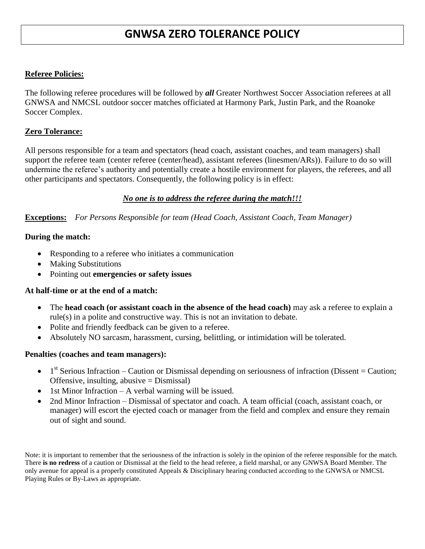# **GNWSA ZERO TOLERANCE POLICY**

## **Referee Policies:**

The following referee procedures will be followed by *all* Greater Northwest Soccer Association referees at all GNWSA and NMCSL outdoor soccer matches officiated at Harmony Park, Justin Park, and the Roanoke Soccer Complex.

## **Zero Tolerance:**

All persons responsible for a team and spectators (head coach, assistant coaches, and team managers) shall support the referee team (center referee (center/head), assistant referees (linesmen/ARs)). Failure to do so will undermine the referee's authority and potentially create a hostile environment for players, the referees, and all other participants and spectators. Consequently, the following policy is in effect:

## *No one is to address the referee during the match!!!*

**Exceptions:** *For Persons Responsible for team (Head Coach, Assistant Coach, Team Manager)*

#### **During the match:**

- Responding to a referee who initiates a communication
- Making Substitutions
- Pointing out **emergencies or safety issues**

#### **At half-time or at the end of a match:**

- The **head coach (or assistant coach in the absence of the head coach)** may ask a referee to explain a rule(s) in a polite and constructive way. This is not an invitation to debate.
- Polite and friendly feedback can be given to a referee.
- Absolutely NO sarcasm, harassment, cursing, belittling, or intimidation will be tolerated.

#### **Penalties (coaches and team managers):**

- $\bullet$  1<sup>st</sup> Serious Infraction Caution or Dismissal depending on seriousness of infraction (Dissent = Caution; Offensive, insulting, abusive = Dismissal)
- 1st Minor Infraction A verbal warning will be issued.
- 2nd Minor Infraction Dismissal of spectator and coach. A team official (coach, assistant coach, or manager) will escort the ejected coach or manager from the field and complex and ensure they remain out of sight and sound.

Note: it is important to remember that the seriousness of the infraction is solely in the opinion of the referee responsible for the match. There **is no redress** of a caution or Dismissal at the field to the head referee, a field marshal, or any GNWSA Board Member. The only avenue for appeal is a properly constituted Appeals & Disciplinary hearing conducted according to the GNWSA or NMCSL Playing Rules or By-Laws as appropriate.